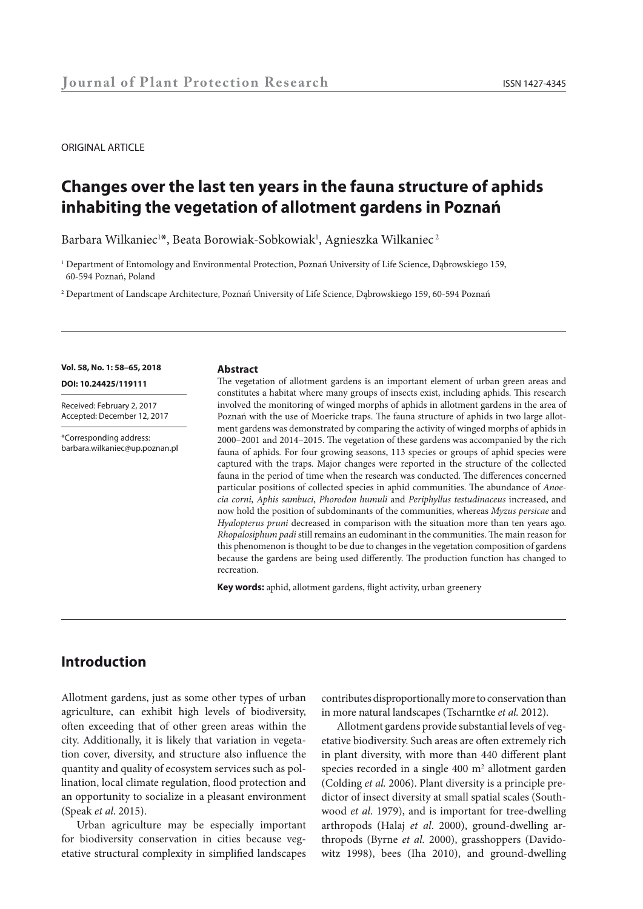#### ORIGINAL ARTICLE

# **Changes over the last ten years in the fauna structure of aphids inhabiting the vegetation of allotment gardens in Poznań**

Barbara Wilkaniec $^{\text{1}*}$ , Beata Borowiak-Sobkowiak $^{\text{1}}$ , Agnieszka Wilkaniec $^{\text{2}}$ 

1 Department of Entomology and Environmental Protection, Poznań University of Life Science, Dąbrowskiego 159, 60-594 Poznań, Poland

2 Department of Landscape Architecture, Poznań University of Life Science, Dąbrowskiego 159, 60-594 Poznań

#### **Vol. 58, No. 1: 58–65, 2018**

**DOI: 10.24425/119111** 

Received: February 2, 2017 Accepted: December 12, 2017

\*Corresponding address: barbara.wilkaniec@up.poznan.pl

#### **Abstract**

The vegetation of allotment gardens is an important element of urban green areas and constitutes a habitat where many groups of insects exist, including aphids. This research involved the monitoring of winged morphs of aphids in allotment gardens in the area of Poznań with the use of Moericke traps. The fauna structure of aphids in two large allotment gardens was demonstrated by comparing the activity of winged morphs of aphids in 2000–2001 and 2014–2015. The vegetation of these gardens was accompanied by the rich fauna of aphids. For four growing seasons, 113 species or groups of aphid species were captured with the traps. Major changes were reported in the structure of the collected fauna in the period of time when the research was conducted. The differences concerned particular positions of collected species in aphid communities. The abundance of *Anoecia corni*, *Aphis sambuci*, *Phorodon humuli* and *Periphyllus testudinaceus* increased, and now hold the position of subdominants of the communities, whereas *Myzus persicae* and *Hyalopterus pruni* decreased in comparison with the situation more than ten years ago. *Rhopalosiphum padi* still remains an eudominant in the communities. The main reason for this phenomenon is thought to be due to changes in the vegetation composition of gardens because the gardens are being used differently. The production function has changed to recreation.

**Key words:** aphid, allotment gardens, flight activity, urban greenery

# **Introduction**

Allotment gardens, just as some other types of urban agriculture, can exhibit high levels of biodiversity, often exceeding that of other green areas within the city. Additionally, it is likely that variation in vegetation cover, diversity, and structure also influence the quantity and quality of ecosystem services such as pollination, local climate regulation, flood protection and an opportunity to socialize in a pleasant environment (Speak *et al*. 2015).

Urban agriculture may be especially important for biodiversity conservation in cities because vegetative structural complexity in simplified landscapes contributes disproportionally more to conservation than in more natural landscapes (Tscharntke *et al.* 2012).

Allotment gardens provide substantial levels of vegetative biodiversity. Such areas are often extremely rich in plant diversity, with more than 440 different plant species recorded in a single  $400 \text{ m}^2$  allotment garden (Colding *et al.* 2006). Plant diversity is a principle predictor of insect diversity at small spatial scales (Southwood *et al*. 1979), and is important for tree-dwelling arthropods (Halaj *et al*. 2000), ground-dwelling arthropods (Byrne *et al.* 2000), grasshoppers (Davidowitz 1998), bees (Iha 2010), and ground-dwelling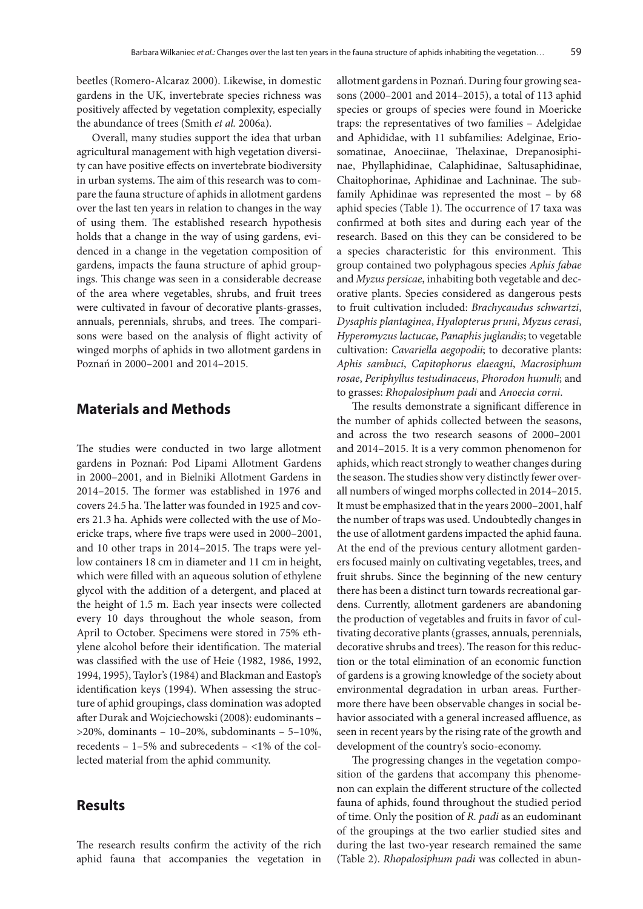beetles (Romero-Alcaraz 2000). Likewise, in domestic gardens in the UK, invertebrate species richness was positively affected by vegetation complexity, especially the abundance of trees (Smith *et al.* 2006a).

Overall, many studies support the idea that urban agricultural management with high vegetation diversity can have positive effects on invertebrate biodiversity in urban systems. The aim of this research was to compare the fauna structure of aphids in allotment gardens over the last ten years in relation to changes in the way of using them. The established research hypothesis holds that a change in the way of using gardens, evidenced in a change in the vegetation composition of gardens, impacts the fauna structure of aphid groupings. This change was seen in a considerable decrease of the area where vegetables, shrubs, and fruit trees were cultivated in favour of decorative plants-grasses, annuals, perennials, shrubs, and trees. The comparisons were based on the analysis of flight activity of winged morphs of aphids in two allotment gardens in Poznań in 2000–2001 and 2014–2015.

#### **Materials and Methods**

The studies were conducted in two large allotment gardens in Poznań: Pod Lipami Allotment Gardens in 2000–2001, and in Bielniki Allotment Gardens in 2014–2015. The former was established in 1976 and covers 24.5 ha. The latter was founded in 1925 and covers 21.3 ha. Aphids were collected with the use of Moericke traps, where five traps were used in 2000–2001, and 10 other traps in 2014–2015. The traps were yellow containers 18 cm in diameter and 11 cm in height, which were filled with an aqueous solution of ethylene glycol with the addition of a detergent, and placed at the height of 1.5 m. Each year insects were collected every 10 days throughout the whole season, from April to October. Specimens were stored in 75% ethylene alcohol before their identification. The material was classified with the use of Heie (1982, 1986, 1992, 1994, 1995), Taylor's (1984) and Blackman and Eastop's identification keys (1994). When assessing the structure of aphid groupings, class domination was adopted after Durak and Wojciechowski (2008): eudominants – >20%, dominants – 10–20%, subdominants – 5–10%, recedents – 1–5% and subrecedents – <1% of the collected material from the aphid community.

### **Results**

The research results confirm the activity of the rich aphid fauna that accompanies the vegetation in allotment gardens in Poznań. During four growing seasons (2000–2001 and 2014–2015), a total of 113 aphid species or groups of species were found in Moericke traps: the representatives of two families – Adelgidae and Aphididae, with 11 subfamilies: Adelginae, Eriosomatinae, Anoeciinae, Thelaxinae, Drepanosiphinae, Phyllaphidinae, Calaphidinae, Saltusaphidinae, Chaitophorinae, Aphidinae and Lachninae. The subfamily Aphidinae was represented the most – by 68 aphid species (Table 1). The occurrence of 17 taxa was confirmed at both sites and during each year of the research. Based on this they can be considered to be a species characteristic for this environment. This group contained two polyphagous species *Aphis fabae* and *Myzus persicae*, inhabiting both vegetable and decorative plants. Species considered as dangerous pests to fruit cultivation included: *Brachycaudus schwartzi*, *Dysaphis plantaginea*, *Hyalopterus pruni*, *Myzus cerasi*, *Hyperomyzus lactucae*, *Panaphis juglandis*; to vegetable cultivation: *Cavariella aegopodii*; to decorative plants: *Aphis sambuci*, *Capitophorus elaeagni*, *Macrosiphum rosae*, *Periphyllus testudinaceus*, *Phorodon humuli*; and to grasses: *Rhopalosiphum padi* and *Anoecia corni*.

The results demonstrate a significant difference in the number of aphids collected between the seasons, and across the two research seasons of 2000–2001 and 2014–2015. It is a very common phenomenon for aphids, which react strongly to weather changes during the season. The studies show very distinctly fewer overall numbers of winged morphs collected in 2014–2015. It must be emphasized that in the years 2000–2001, half the number of traps was used. Undoubtedly changes in the use of allotment gardens impacted the aphid fauna. At the end of the previous century allotment gardeners focused mainly on cultivating vegetables, trees, and fruit shrubs. Since the beginning of the new century there has been a distinct turn towards recreational gardens. Currently, allotment gardeners are abandoning the production of vegetables and fruits in favor of cultivating decorative plants (grasses, annuals, perennials, decorative shrubs and trees). The reason for this reduction or the total elimination of an economic function of gardens is a growing knowledge of the society about environmental degradation in urban areas. Furthermore there have been observable changes in social behavior associated with a general increased affluence, as seen in recent years by the rising rate of the growth and development of the country's socio-economy.

The progressing changes in the vegetation composition of the gardens that accompany this phenomenon can explain the different structure of the collected fauna of aphids, found throughout the studied period of time. Only the position of *R. padi* as an eudominant of the groupings at the two earlier studied sites and during the last two-year research remained the same (Table 2). *Rhopalosiphum padi* was collected in abun-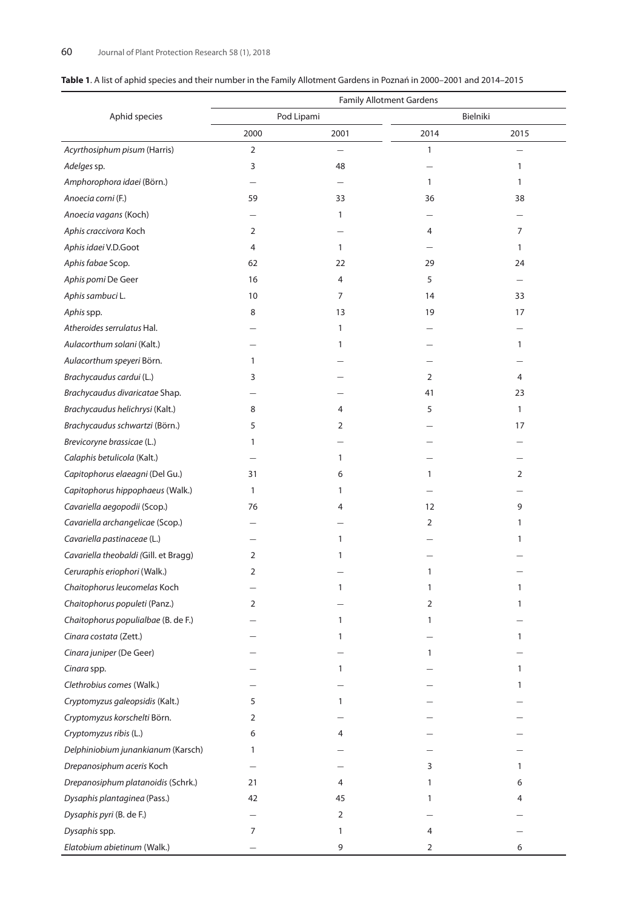|                                       |                | <b>Family Allotment Gardens</b> |              |              |  |  |
|---------------------------------------|----------------|---------------------------------|--------------|--------------|--|--|
| Aphid species                         |                | Pod Lipami                      | Bielniki     |              |  |  |
|                                       | 2000           | 2001                            | 2014         | 2015         |  |  |
| Acyrthosiphum pisum (Harris)          | $\mathbf 2$    |                                 | $\mathbf{1}$ |              |  |  |
| Adelges sp.                           | 3              | 48                              |              | 1            |  |  |
| Amphorophora idaei (Börn.)            |                |                                 | $\mathbf{1}$ | $\mathbf{1}$ |  |  |
| Anoecia corni (F.)                    | 59             | 33                              | 36           | 38           |  |  |
| Anoecia vagans (Koch)                 |                | 1                               |              |              |  |  |
| Aphis craccivora Koch                 | $\overline{2}$ |                                 | 4            | 7            |  |  |
| Aphis idaei V.D.Goot                  | 4              | $\mathbf{1}$                    |              | $\mathbf{1}$ |  |  |
| Aphis fabae Scop.                     | 62             | 22                              | 29           | 24           |  |  |
| Aphis pomi De Geer                    | 16             | 4                               | 5            |              |  |  |
| Aphis sambuci L.                      | 10             | 7                               | 14           | 33           |  |  |
| Aphis spp.                            | 8              | 13                              | 19           | 17           |  |  |
| Atheroides serrulatus Hal.            |                | $\mathbf{1}$                    |              |              |  |  |
| Aulacorthum solani (Kalt.)            |                | 1                               |              | 1            |  |  |
| Aulacorthum speyeri Börn.             | 1              |                                 |              |              |  |  |
| Brachycaudus cardui (L.)              | 3              |                                 | 2            | 4            |  |  |
| Brachycaudus divaricatae Shap.        |                |                                 | 41           | 23           |  |  |
| Brachycaudus helichrysi (Kalt.)       | 8              | 4                               | 5            | $\mathbf{1}$ |  |  |
| Brachycaudus schwartzi (Börn.)        | 5              | 2                               |              | 17           |  |  |
| Brevicoryne brassicae (L.)            | 1              |                                 |              |              |  |  |
| Calaphis betulicola (Kalt.)           |                | 1                               |              |              |  |  |
| Capitophorus elaeagni (Del Gu.)       | 31             | 6                               | $\mathbf{1}$ | 2            |  |  |
| Capitophorus hippophaeus (Walk.)      | 1              | 1                               |              |              |  |  |
| Cavariella aegopodii (Scop.)          | 76             | 4                               | 12           | 9            |  |  |
| Cavariella archangelicae (Scop.)      |                |                                 | 2            | 1            |  |  |
| Cavariella pastinaceae (L.)           |                | $\mathbf{1}$                    |              | 1            |  |  |
| Cavariella theobaldi (Gill. et Bragg) | $\overline{2}$ | 1                               |              |              |  |  |
| Ceruraphis eriophori (Walk.)          | $\overline{2}$ |                                 | 1            |              |  |  |
| Chaitophorus leucomelas Koch          |                | 1                               | $\mathbf{1}$ | 1            |  |  |
| Chaitophorus populeti (Panz.)         | 2              |                                 | 2            | 1            |  |  |
| Chaitophorus populialbae (B. de F.)   |                | 1                               | 1            |              |  |  |
| Cinara costata (Zett.)                |                | 1                               |              | $\mathbf{1}$ |  |  |
| Cinara juniper (De Geer)              |                |                                 | 1            |              |  |  |
| Cinara spp.                           |                | $\mathbf{1}$                    |              | $\mathbf{1}$ |  |  |
| Clethrobius comes (Walk.)             |                |                                 |              | 1            |  |  |
| Cryptomyzus galeopsidis (Kalt.)       | 5              | $\mathbf{1}$                    |              |              |  |  |
| Cryptomyzus korschelti Börn.          | 2              |                                 |              |              |  |  |
| Cryptomyzus ribis (L.)                | 6              | 4                               |              |              |  |  |
| Delphiniobium junankianum (Karsch)    | 1              |                                 |              |              |  |  |
| Drepanosiphum aceris Koch             |                |                                 | 3            | $\mathbf{1}$ |  |  |
| Drepanosiphum platanoidis (Schrk.)    | 21             | 4                               | 1            | 6            |  |  |
| Dysaphis plantaginea (Pass.)          | 42             | 45                              | 1            | 4            |  |  |
| Dysaphis pyri (B. de F.)              |                | 2                               |              |              |  |  |
| Dysaphis spp.                         | 7              | $\mathbf{1}$                    | 4            |              |  |  |
| Elatobium abietinum (Walk.)           |                | 9                               | 2            | 6            |  |  |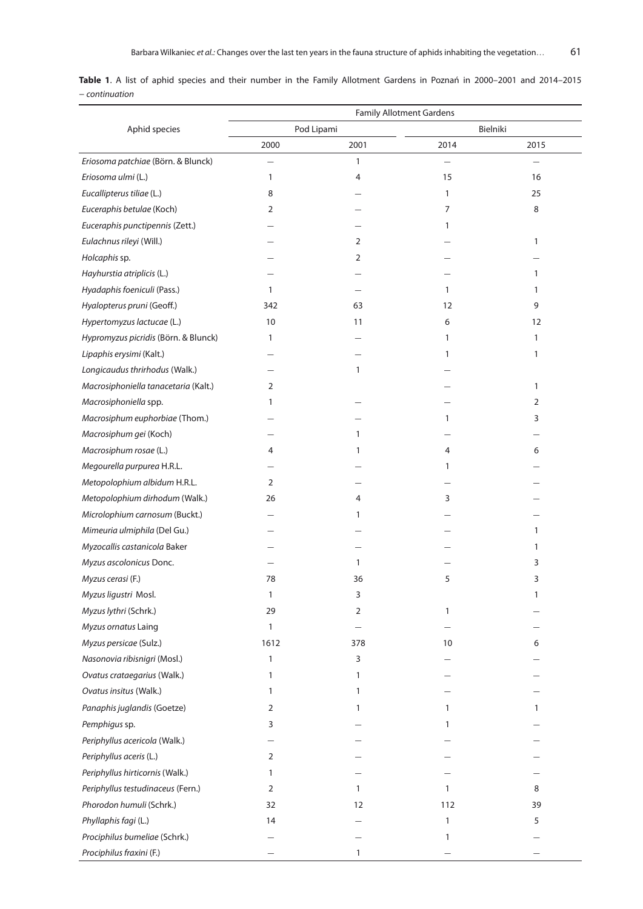**Table 1**. A list of aphid species and their number in the Family Allotment Gardens in Poznań in 2000–2001 and 2014–2015 − *continuation*

|                                      | <b>Family Allotment Gardens</b> |              |              |              |  |  |  |  |  |
|--------------------------------------|---------------------------------|--------------|--------------|--------------|--|--|--|--|--|
| Aphid species                        |                                 | Pod Lipami   |              | Bielniki     |  |  |  |  |  |
|                                      | 2000                            | 2001         | 2014         | 2015         |  |  |  |  |  |
| Eriosoma patchiae (Börn. & Blunck)   |                                 | $\mathbf{1}$ |              |              |  |  |  |  |  |
| Eriosoma ulmi (L.)                   | 1                               | 4            | 15           | 16           |  |  |  |  |  |
| Eucallipterus tiliae (L.)            | 8                               |              | 1            | 25           |  |  |  |  |  |
| Euceraphis betulae (Koch)            | 2                               |              | 7            | 8            |  |  |  |  |  |
| Euceraphis punctipennis (Zett.)      |                                 |              | 1            |              |  |  |  |  |  |
| Eulachnus rileyi (Will.)             |                                 | 2            |              | 1            |  |  |  |  |  |
| Holcaphis sp.                        |                                 | 2            |              |              |  |  |  |  |  |
| Hayhurstia atriplicis (L.)           |                                 |              |              | 1            |  |  |  |  |  |
| Hyadaphis foeniculi (Pass.)          | 1                               |              | 1            | 1            |  |  |  |  |  |
| Hyalopterus pruni (Geoff.)           | 342                             | 63           | 12           | 9            |  |  |  |  |  |
| Hypertomyzus lactucae (L.)           | 10                              | 11           | 6            | 12           |  |  |  |  |  |
| Hypromyzus picridis (Börn. & Blunck) | $\mathbf{1}$                    |              | 1            | $\mathbf{1}$ |  |  |  |  |  |
| Lipaphis erysimi (Kalt.)             |                                 |              | 1            | 1            |  |  |  |  |  |
| Longicaudus thrirhodus (Walk.)       |                                 | 1            |              |              |  |  |  |  |  |
| Macrosiphoniella tanacetaria (Kalt.) | 2                               |              |              | 1            |  |  |  |  |  |
| Macrosiphoniella spp.                | 1                               |              |              | 2            |  |  |  |  |  |
| Macrosiphum euphorbiae (Thom.)       |                                 |              | 1            | 3            |  |  |  |  |  |
| Macrosiphum gei (Koch)               |                                 | 1            |              |              |  |  |  |  |  |
| Macrosiphum rosae (L.)               | 4                               | 1            | 4            | 6            |  |  |  |  |  |
| Megourella purpurea H.R.L.           |                                 |              | 1            |              |  |  |  |  |  |
| Metopolophium albidum H.R.L.         | 2                               |              |              |              |  |  |  |  |  |
| Metopolophium dirhodum (Walk.)       | 26                              | 4            | 3            |              |  |  |  |  |  |
| Microlophium carnosum (Buckt.)       |                                 | 1            |              |              |  |  |  |  |  |
| Mimeuria ulmiphila (Del Gu.)         |                                 |              |              | 1            |  |  |  |  |  |
| Myzocallis castanicola Baker         |                                 |              |              | 1            |  |  |  |  |  |
| Myzus ascolonicus Donc.              |                                 | $\mathbf{1}$ |              | 3            |  |  |  |  |  |
| Myzus cerasi (F.)                    | 78                              | 36           | 5            | 3            |  |  |  |  |  |
| Myzus ligustri Mosl.                 | 1                               | 3            |              | 1            |  |  |  |  |  |
| Myzus lythri (Schrk.)                | 29                              | 2            | 1            |              |  |  |  |  |  |
| Myzus ornatus Laing                  | 1                               |              |              |              |  |  |  |  |  |
| Myzus persicae (Sulz.)               | 1612                            | 378          | 10           | 6            |  |  |  |  |  |
| Nasonovia ribisnigri (Mosl.)         | 1                               | 3            |              |              |  |  |  |  |  |
| Ovatus crataegarius (Walk.)          | 1                               | 1            |              |              |  |  |  |  |  |
| Ovatus insitus (Walk.)               | 1                               | 1            |              |              |  |  |  |  |  |
| Panaphis juglandis (Goetze)          | 2                               | 1            | 1            | 1            |  |  |  |  |  |
| Pemphigus sp.                        | 3                               |              | 1            |              |  |  |  |  |  |
| Periphyllus acericola (Walk.)        |                                 |              |              |              |  |  |  |  |  |
| Periphyllus aceris (L.)              | 2                               |              |              |              |  |  |  |  |  |
| Periphyllus hirticornis (Walk.)      | 1                               |              |              |              |  |  |  |  |  |
| Periphyllus testudinaceus (Fern.)    | 2                               | $\mathbf{1}$ | $\mathbf{1}$ | 8            |  |  |  |  |  |
| Phorodon humuli (Schrk.)             | 32                              | 12           | 112          | 39           |  |  |  |  |  |
| Phyllaphis fagi (L.)                 | 14                              |              | 1            | 5            |  |  |  |  |  |
| Prociphilus bumeliae (Schrk.)        |                                 |              | 1            |              |  |  |  |  |  |
| Prociphilus fraxini (F.)             |                                 | $\mathbf{1}$ |              |              |  |  |  |  |  |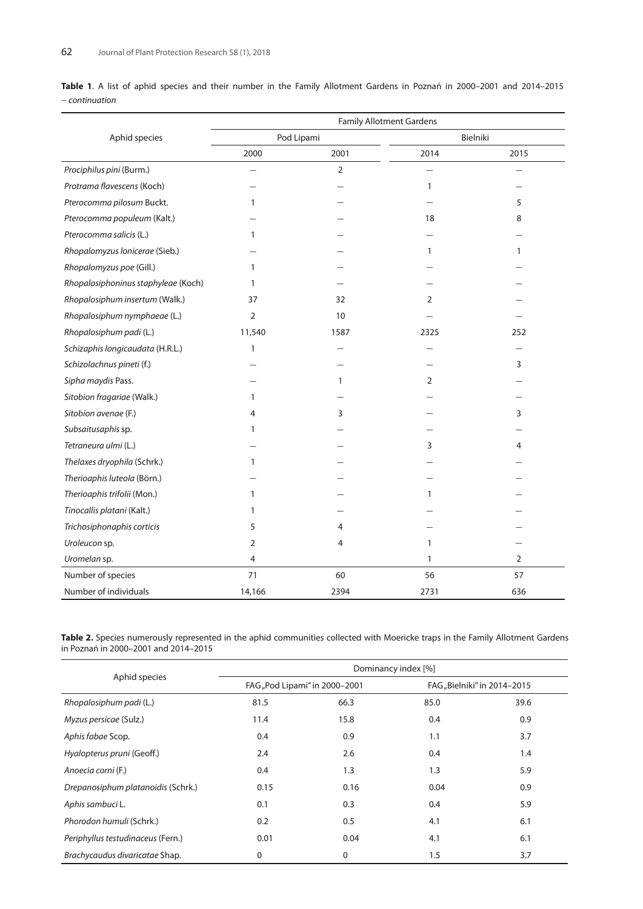|                |  |  |  |  |  |  |  |  | Table 1. A list of aphid species and their number in the Family Allotment Gardens in Poznań in 2000-2001 and 2014-2015 |  |
|----------------|--|--|--|--|--|--|--|--|------------------------------------------------------------------------------------------------------------------------|--|
| - continuation |  |  |  |  |  |  |  |  |                                                                                                                        |  |

|                                     | <b>Family Allotment Gardens</b> |                |              |      |  |  |  |  |
|-------------------------------------|---------------------------------|----------------|--------------|------|--|--|--|--|
| Aphid species                       |                                 | Pod Lipami     | Bielniki     |      |  |  |  |  |
|                                     | 2000                            | 2001           | 2014         | 2015 |  |  |  |  |
| Prociphilus pini (Burm.)            |                                 | $\overline{2}$ |              |      |  |  |  |  |
| Protrama flavescens (Koch)          |                                 |                | $\mathbf{1}$ |      |  |  |  |  |
| Pterocomma pilosum Buckt.           | 1                               |                |              | 5    |  |  |  |  |
| Pterocomma populeum (Kalt.)         |                                 |                | 18           | 8    |  |  |  |  |
| Pterocomma salicis (L.)             | 1                               |                |              |      |  |  |  |  |
| Rhopalomyzus Ionicerae (Sieb.)      |                                 |                | $\mathbf{1}$ | 1    |  |  |  |  |
| Rhopalomyzus poe (Gill.)            | 1                               |                |              |      |  |  |  |  |
| Rhopalosiphoninus staphyleae (Koch) | 1                               |                |              |      |  |  |  |  |
| Rhopalosiphum insertum (Walk.)      | 37                              | 32             | 2            |      |  |  |  |  |
| Rhopalosiphum nymphaeae (L.)        | 2                               | 10             |              |      |  |  |  |  |
| Rhopalosiphum padi (L.)             | 11,540                          | 1587           | 2325         | 252  |  |  |  |  |
| Schizaphis longicaudata (H.R.L.)    | 1                               |                |              |      |  |  |  |  |
| Schizolachnus pineti (f.)           |                                 |                |              | 3    |  |  |  |  |
| Sipha maydis Pass.                  |                                 | $\mathbf{1}$   | 2            |      |  |  |  |  |
| Sitobion fragariae (Walk.)          | 1                               |                |              |      |  |  |  |  |
| Sitobion avenae (F.)                | 4                               | 3              |              | 3    |  |  |  |  |
| Subsaitusaphis sp.                  | 1                               |                |              |      |  |  |  |  |
| Tetraneura ulmi (L.)                |                                 |                | 3            | 4    |  |  |  |  |
| Thelaxes dryophila (Schrk.)         | 1                               |                |              |      |  |  |  |  |
| Therioaphis luteola (Börn.)         |                                 |                |              |      |  |  |  |  |
| Therioaphis trifolii (Mon.)         | 1                               |                | 1            |      |  |  |  |  |
| Tinocallis platani (Kalt.)          | 1                               |                |              |      |  |  |  |  |
| Trichosiphonaphis corticis          | 5                               | 4              |              |      |  |  |  |  |
| Uroleucon sp.                       | 2                               | 4              | 1            |      |  |  |  |  |
| Uromelan sp.                        | 4                               |                | 1            | 2    |  |  |  |  |
| Number of species                   | 71                              | 60             | 56           | 57   |  |  |  |  |
| Number of individuals               | 14,166                          | 2394           | 2731         | 636  |  |  |  |  |

**Table 2.** Species numerously represented in the aphid communities collected with Moericke traps in the Family Allotment Gardens in Poznań in 2000–2001 and 2014–2015

|                                    | Dominancy index [%]           |      |                             |      |  |  |  |  |
|------------------------------------|-------------------------------|------|-----------------------------|------|--|--|--|--|
| Aphid species                      | FAG, Pod Lipami" in 2000-2001 |      | FAG, Bielniki" in 2014-2015 |      |  |  |  |  |
| Rhopalosiphum padi (L.)            | 81.5                          | 66.3 | 85.0                        | 39.6 |  |  |  |  |
| Myzus persicae (Sulz.)             | 11.4                          | 15.8 | 0.4                         | 0.9  |  |  |  |  |
| Aphis fabae Scop.                  | 0.4                           | 0.9  | 1.1                         | 3.7  |  |  |  |  |
| Hyalopterus pruni (Geoff.)         | 2.4                           | 2.6  | 0.4                         | 1.4  |  |  |  |  |
| Anoecia corni (F.)                 | 0.4                           | 1.3  | 1.3                         | 5.9  |  |  |  |  |
| Drepanosiphum platanoidis (Schrk.) | 0.15                          | 0.16 | 0.04                        | 0.9  |  |  |  |  |
| Aphis sambuci L.                   | 0.1                           | 0.3  | 0.4                         | 5.9  |  |  |  |  |
| Phorodon humuli (Schrk.)           | 0.2                           | 0.5  | 4.1                         | 6.1  |  |  |  |  |
| Periphyllus testudinaceus (Fern.)  | 0.01                          | 0.04 | 4.1                         | 6.1  |  |  |  |  |
| Brachycaudus divaricatae Shap.     | 0                             | 0    | 1.5                         | 3.7  |  |  |  |  |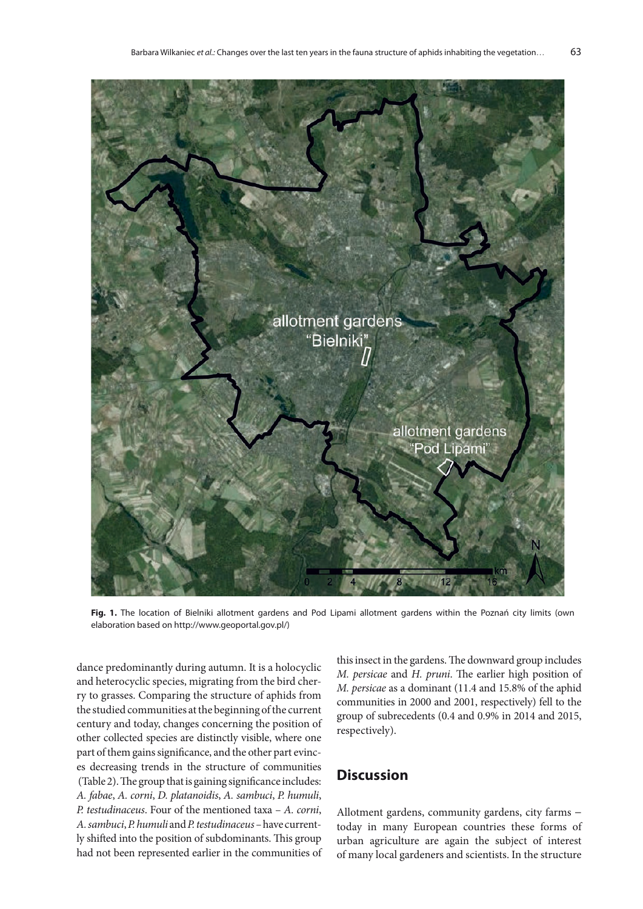

**Fig. 1.** The location of Bielniki allotment gardens and Pod Lipami allotment gardens within the Poznań city limits (own elaboration based on http://www.geoportal.gov.pl/)

dance predominantly during autumn. It is a holocyclic and heterocyclic species, migrating from the bird cherry to grasses. Comparing the structure of aphids from the studied communities at the beginning of the current century and today, changes concerning the position of other collected species are distinctly visible, where one part of them gains significance, and the other part evinces decreasing trends in the structure of communities (Table 2). The group that is gaining significance includes: *A. fabae*, *A. corni*, *D. platanoidis*, *A. sambuci*, *P. humuli*, *P. testudinaceus*. Four of the mentioned taxa – *A. corni*, *A. sambuci*, *P. humuli* and *P. testudinaceus –* have currently shifted into the position of subdominants. This group had not been represented earlier in the communities of this insect in the gardens. The downward group includes *M. persicae* and *H. pruni*. The earlier high position of *M. persicae* as a dominant (11.4 and 15.8% of the aphid communities in 2000 and 2001, respectively) fell to the group of subrecedents (0.4 and 0.9% in 2014 and 2015, respectively).

### **Discussion**

Allotment gardens, community gardens, city farms − today in many European countries these forms of urban agriculture are again the subject of interest of many local gardeners and scientists. In the structure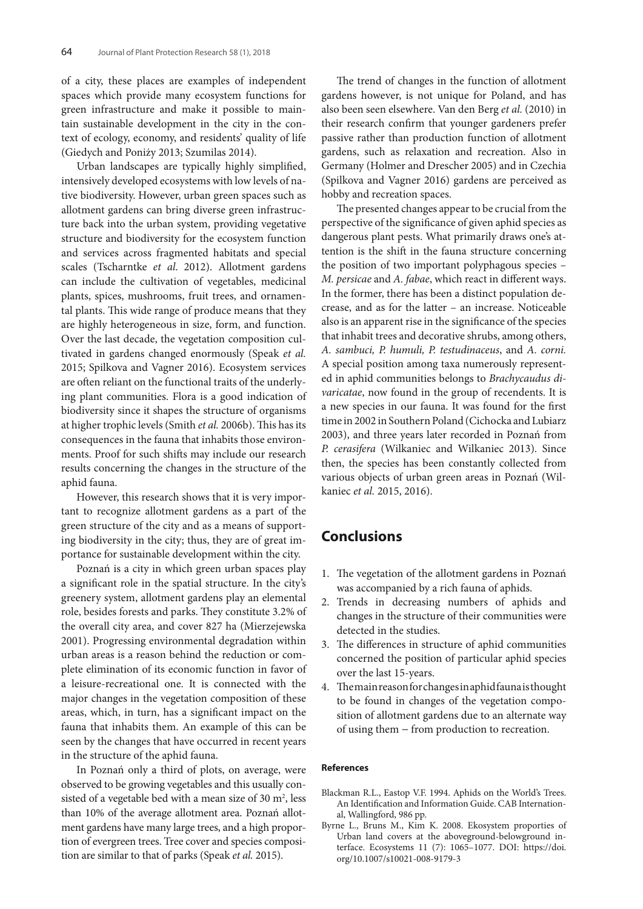of a city, these places are examples of independent spaces which provide many ecosystem functions for green infrastructure and make it possible to maintain sustainable development in the city in the context of ecology, economy, and residents' quality of life (Giedych and Poniży 2013; Szumilas 2014).

Urban landscapes are typically highly simplified, intensively developed ecosystems with low levels of native biodiversity. However, urban green spaces such as allotment gardens can bring diverse green infrastructure back into the urban system, providing vegetative structure and biodiversity for the ecosystem function and services across fragmented habitats and special scales (Tscharntke *et al*. 2012). Allotment gardens can include the cultivation of vegetables, medicinal plants, spices, mushrooms, fruit trees, and ornamental plants. This wide range of produce means that they are highly heterogeneous in size, form, and function. Over the last decade, the vegetation composition cultivated in gardens changed enormously (Speak *et al.* 2015; Spilkova and Vagner 2016). Ecosystem services are often reliant on the functional traits of the underlying plant communities. Flora is a good indication of biodiversity since it shapes the structure of organisms at higher trophic levels (Smith *et al.* 2006b). This has its consequences in the fauna that inhabits those environments. Proof for such shifts may include our research results concerning the changes in the structure of the aphid fauna.

However, this research shows that it is very important to recognize allotment gardens as a part of the green structure of the city and as a means of supporting biodiversity in the city; thus, they are of great importance for sustainable development within the city.

Poznań is a city in which green urban spaces play a significant role in the spatial structure. In the city's greenery system, allotment gardens play an elemental role, besides forests and parks. They constitute 3.2% of the overall city area, and cover 827 ha (Mierzejewska 2001). Progressing environmental degradation within urban areas is a reason behind the reduction or complete elimination of its economic function in favor of a leisure-recreational one. It is connected with the major changes in the vegetation composition of these areas, which, in turn, has a significant impact on the fauna that inhabits them. An example of this can be seen by the changes that have occurred in recent years in the structure of the aphid fauna.

In Poznań only a third of plots, on average, were observed to be growing vegetables and this usually consisted of a vegetable bed with a mean size of  $30 \text{ m}^2$ , less than 10% of the average allotment area. Poznań allotment gardens have many large trees, and a high proportion of evergreen trees. Tree cover and species composition are similar to that of parks (Speak *et al.* 2015).

The trend of changes in the function of allotment gardens however, is not unique for Poland, and has also been seen elsewhere. Van den Berg *et al.* (2010) in their research confirm that younger gardeners prefer passive rather than production function of allotment gardens, such as relaxation and recreation. Also in Germany (Holmer and Drescher 2005) and in Czechia (Spilkova and Vagner 2016) gardens are perceived as hobby and recreation spaces.

The presented changes appear to be crucial from the perspective of the significance of given aphid species as dangerous plant pests. What primarily draws one's attention is the shift in the fauna structure concerning the position of two important polyphagous species – *M. persicae* and *A. fabae*, which react in different ways. In the former, there has been a distinct population decrease, and as for the latter – an increase. Noticeable also is an apparent rise in the significance of the species that inhabit trees and decorative shrubs, among others, *A. sambuci, P. humuli, P. testudinaceus*, and *A. corni.* A special position among taxa numerously represented in aphid communities belongs to *Brachycaudus divaricatae*, now found in the group of recendents. It is a new species in our fauna. It was found for the first time in 2002 in Southern Poland (Cichocka and Lubiarz 2003), and three years later recorded in Poznań from *P. cerasifera* (Wilkaniec and Wilkaniec 2013). Since then, the species has been constantly collected from various objects of urban green areas in Poznań (Wilkaniec *et al.* 2015, 2016).

# **Conclusions**

- 1. The vegetation of the allotment gardens in Poznań was accompanied by a rich fauna of aphids.
- 2. Trends in decreasing numbers of aphids and changes in the structure of their communities were detected in the studies.
- 3. The differences in structure of aphid communities concerned the position of particular aphid species over the last 15-years.
- 4. The main reason for changes in aphid fauna is thought to be found in changes of the vegetation composition of allotment gardens due to an alternate way of using them − from production to recreation.

#### **References**

- Blackman R.L., Eastop V.F. 1994. Aphids on the World's Trees. An Identification and Information Guide. CAB International, Wallingford, 986 pp.
- Byrne L., Bruns M., Kim K. 2008. Ekosystem proporties of Urban land covers at the aboveground-belowground interface. Ecosystems 11 (7): 1065–1077. DOI: https://doi. org/10.1007/s10021-008-9179-3